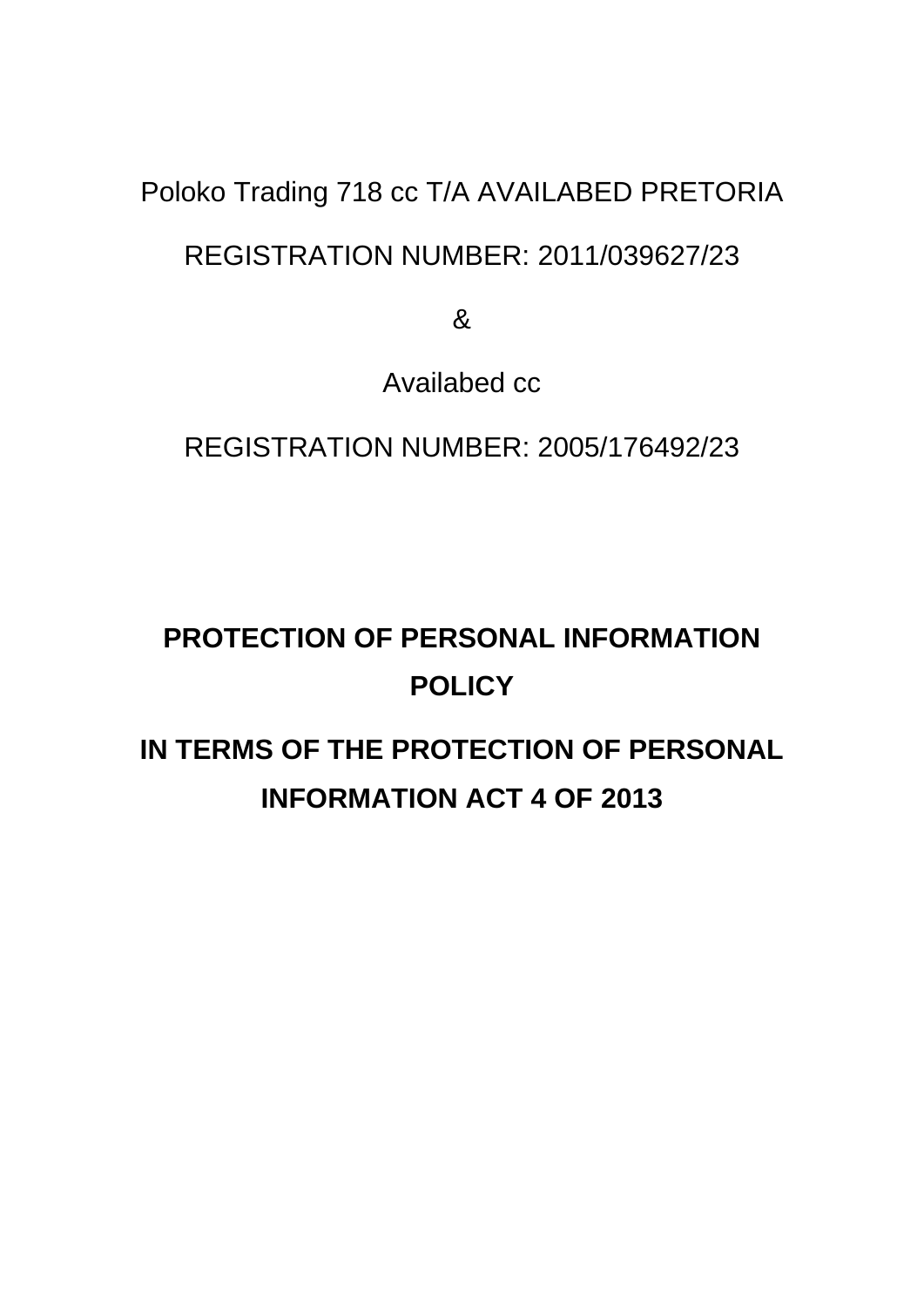## Poloko Trading 718 cc T/A AVAILABED PRETORIA

### REGISTRATION NUMBER: 2011/039627/23

&

Availabed cc

REGISTRATION NUMBER: 2005/176492/23

# **PROTECTION OF PERSONAL INFORMATION POLICY**

## **IN TERMS OF THE PROTECTION OF PERSONAL INFORMATION ACT 4 OF 2013**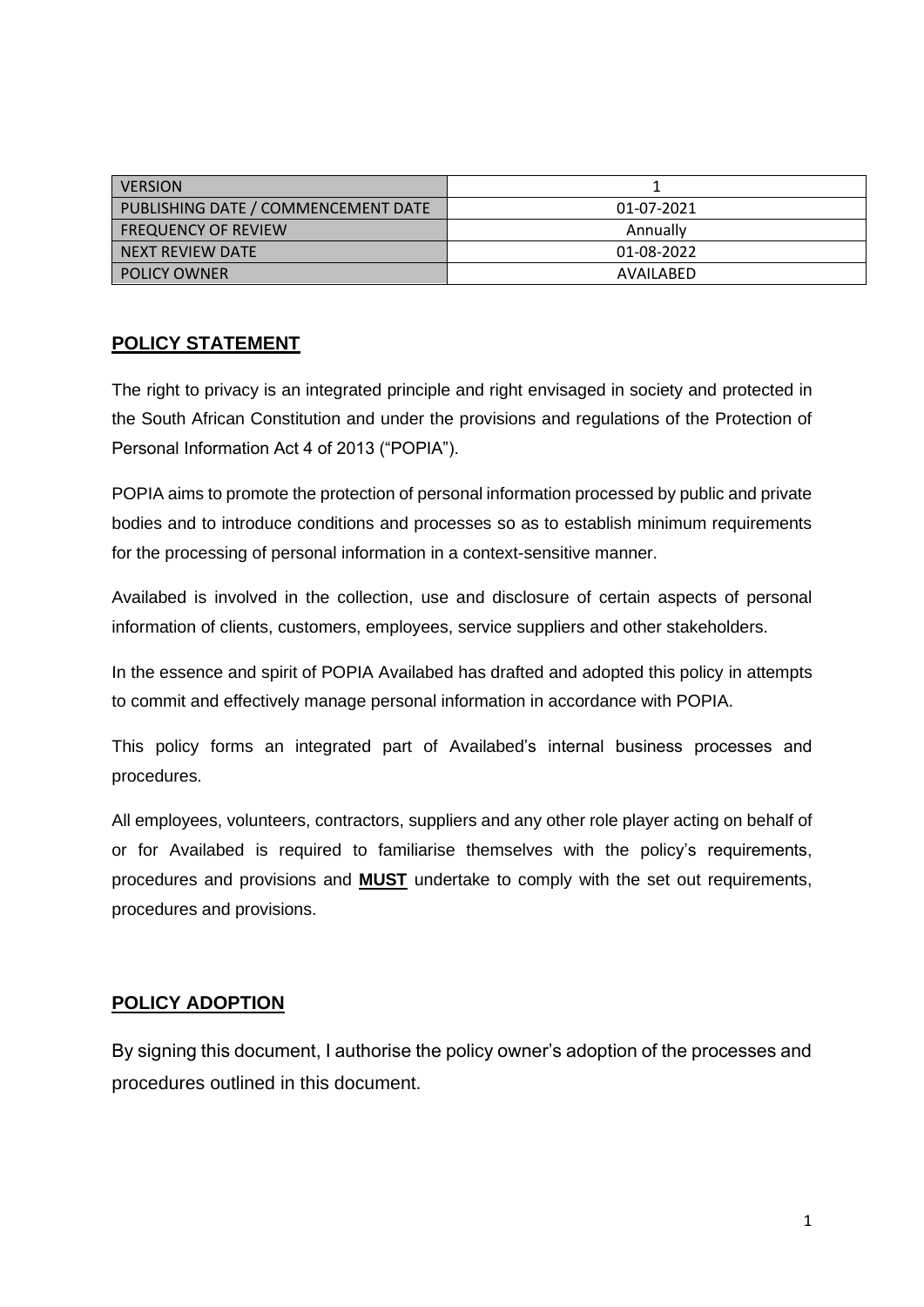| <b>VERSION</b>                      |            |
|-------------------------------------|------------|
| PUBLISHING DATE / COMMENCEMENT DATE | 01-07-2021 |
| <b>FREQUENCY OF REVIEW</b>          | Annually   |
| NEXT REVIEW DATE                    | 01-08-2022 |
| <b>POLICY OWNER</b>                 | AVAILABED  |

#### **POLICY STATEMENT**

The right to privacy is an integrated principle and right envisaged in society and protected in the South African Constitution and under the provisions and regulations of the Protection of Personal Information Act 4 of 2013 ("POPIA").

POPIA aims to promote the protection of personal information processed by public and private bodies and to introduce conditions and processes so as to establish minimum requirements for the processing of personal information in a context-sensitive manner.

Availabed is involved in the collection, use and disclosure of certain aspects of personal information of clients, customers, employees, service suppliers and other stakeholders.

In the essence and spirit of POPIA Availabed has drafted and adopted this policy in attempts to commit and effectively manage personal information in accordance with POPIA.

This policy forms an integrated part of Availabed's internal business processes and procedures.

All employees, volunteers, contractors, suppliers and any other role player acting on behalf of or for Availabed is required to familiarise themselves with the policy's requirements, procedures and provisions and **MUST** undertake to comply with the set out requirements, procedures and provisions.

#### **POLICY ADOPTION**

By signing this document, I authorise the policy owner's adoption of the processes and procedures outlined in this document.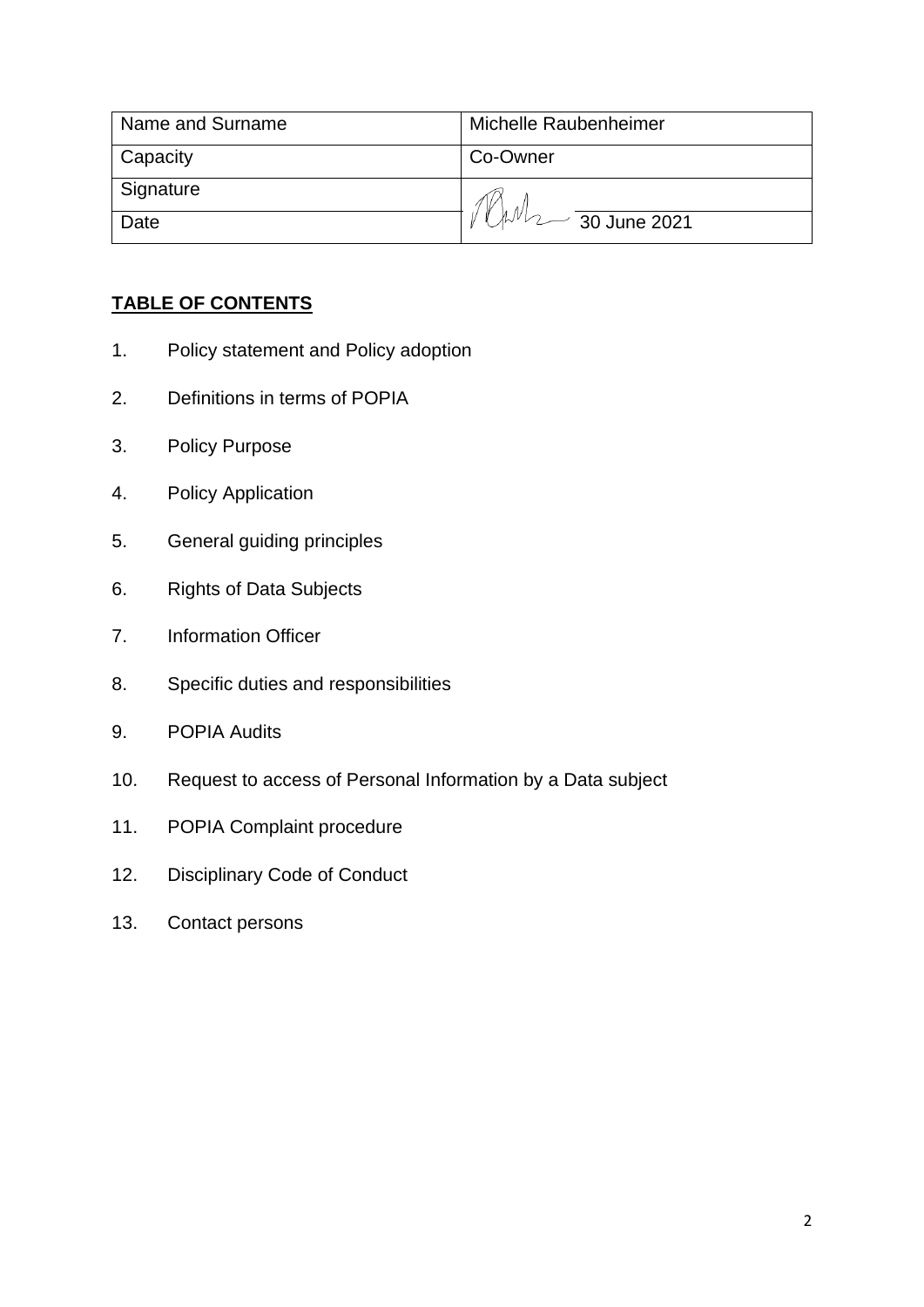| Name and Surname | Michelle Raubenheimer                  |
|------------------|----------------------------------------|
| Capacity         | Co-Owner                               |
| Signature        |                                        |
| Date             | $\mu$ <sup>N</sup> $\sim$ 30 June 2021 |

#### **TABLE OF CONTENTS**

- 1. Policy statement and Policy adoption
- 2. Definitions in terms of POPIA
- 3. Policy Purpose
- 4. Policy Application
- 5. General guiding principles
- 6. Rights of Data Subjects
- 7. Information Officer
- 8. Specific duties and responsibilities
- 9. POPIA Audits
- 10. Request to access of Personal Information by a Data subject
- 11. POPIA Complaint procedure
- 12. Disciplinary Code of Conduct
- 13. Contact persons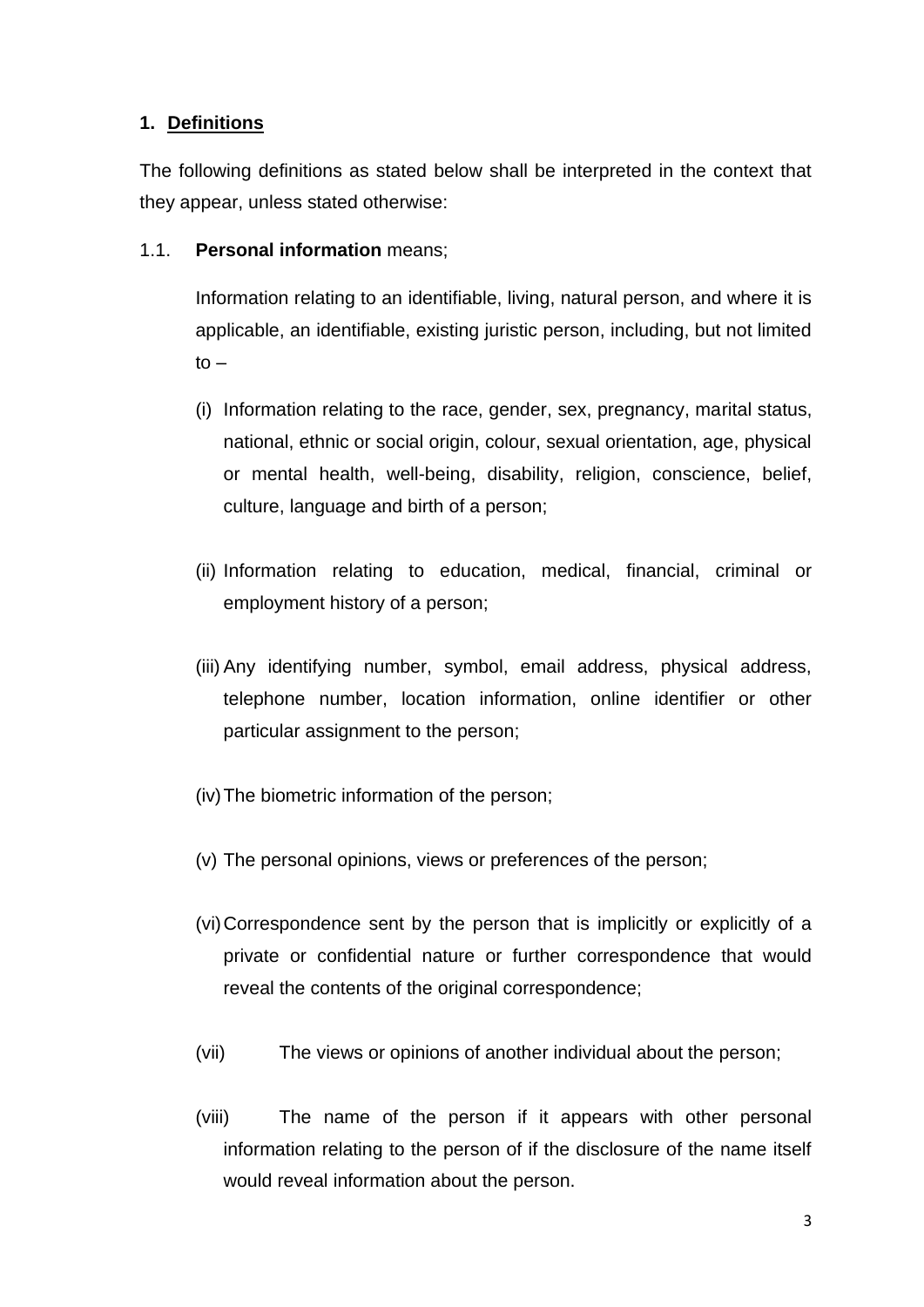#### **1. Definitions**

The following definitions as stated below shall be interpreted in the context that they appear, unless stated otherwise:

1.1. **Personal information** means;

Information relating to an identifiable, living, natural person, and where it is applicable, an identifiable, existing juristic person, including, but not limited  $to -$ 

- (i) Information relating to the race, gender, sex, pregnancy, marital status, national, ethnic or social origin, colour, sexual orientation, age, physical or mental health, well-being, disability, religion, conscience, belief, culture, language and birth of a person;
- (ii) Information relating to education, medical, financial, criminal or employment history of a person;
- (iii) Any identifying number, symbol, email address, physical address, telephone number, location information, online identifier or other particular assignment to the person;
- (iv)The biometric information of the person;
- (v) The personal opinions, views or preferences of the person;
- (vi)Correspondence sent by the person that is implicitly or explicitly of a private or confidential nature or further correspondence that would reveal the contents of the original correspondence;
- (vii) The views or opinions of another individual about the person;
- (viii) The name of the person if it appears with other personal information relating to the person of if the disclosure of the name itself would reveal information about the person.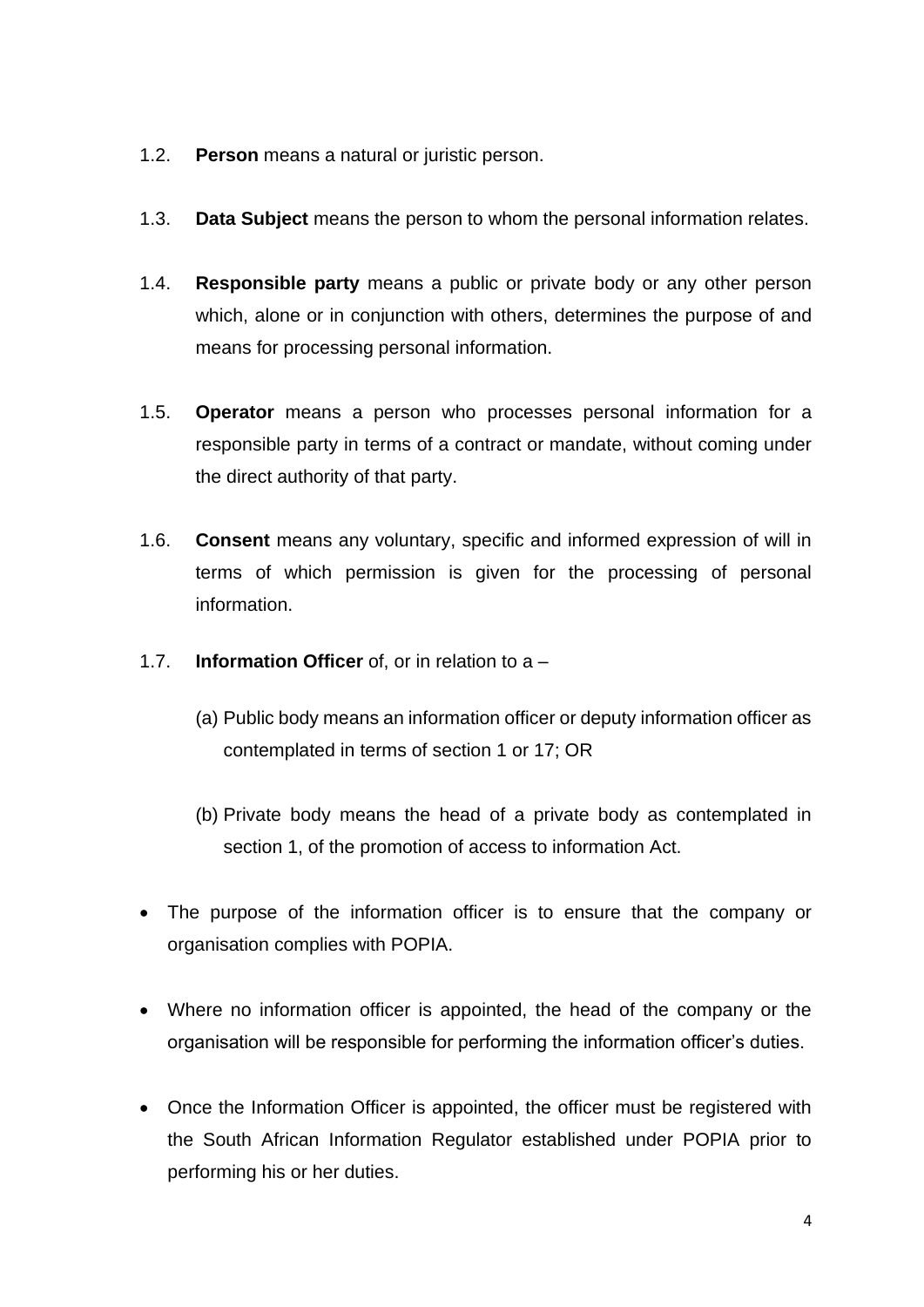- 1.2. **Person** means a natural or juristic person.
- 1.3. **Data Subject** means the person to whom the personal information relates.
- 1.4. **Responsible party** means a public or private body or any other person which, alone or in conjunction with others, determines the purpose of and means for processing personal information.
- 1.5. **Operator** means a person who processes personal information for a responsible party in terms of a contract or mandate, without coming under the direct authority of that party.
- 1.6. **Consent** means any voluntary, specific and informed expression of will in terms of which permission is given for the processing of personal information.
- 1.7. **Information Officer** of, or in relation to a
	- (a) Public body means an information officer or deputy information officer as contemplated in terms of section 1 or 17; OR
	- (b) Private body means the head of a private body as contemplated in section 1, of the promotion of access to information Act.
- The purpose of the information officer is to ensure that the company or organisation complies with POPIA.
- Where no information officer is appointed, the head of the company or the organisation will be responsible for performing the information officer's duties.
- Once the Information Officer is appointed, the officer must be registered with the South African Information Regulator established under POPIA prior to performing his or her duties.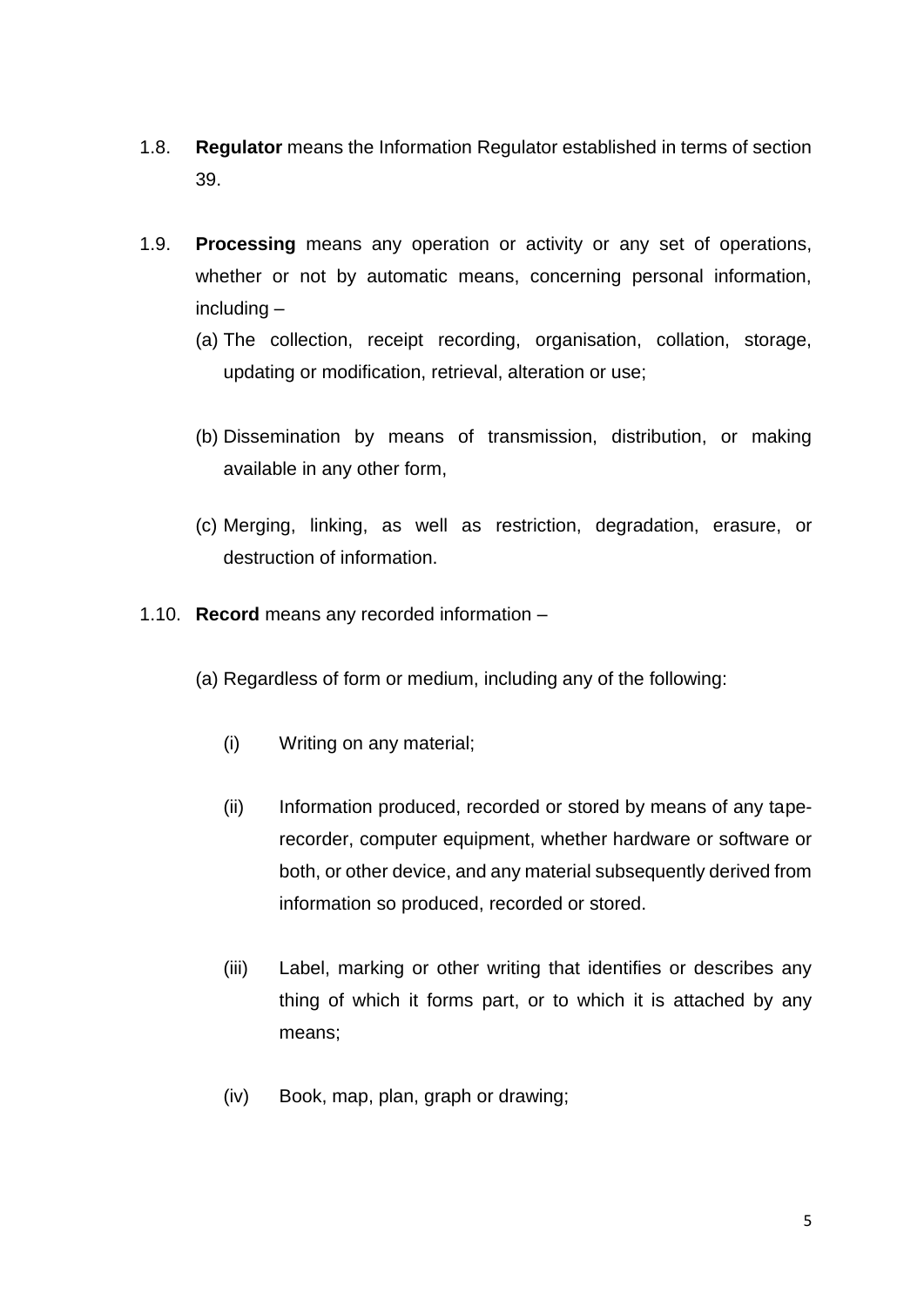- 1.8. **Regulator** means the Information Regulator established in terms of section 39.
- 1.9. **Processing** means any operation or activity or any set of operations, whether or not by automatic means, concerning personal information, including –
	- (a) The collection, receipt recording, organisation, collation, storage, updating or modification, retrieval, alteration or use;
	- (b) Dissemination by means of transmission, distribution, or making available in any other form,
	- (c) Merging, linking, as well as restriction, degradation, erasure, or destruction of information.
- 1.10. **Record** means any recorded information
	- (a) Regardless of form or medium, including any of the following:
		- (i) Writing on any material;
		- (ii) Information produced, recorded or stored by means of any taperecorder, computer equipment, whether hardware or software or both, or other device, and any material subsequently derived from information so produced, recorded or stored.
		- (iii) Label, marking or other writing that identifies or describes any thing of which it forms part, or to which it is attached by any means;
		- (iv) Book, map, plan, graph or drawing;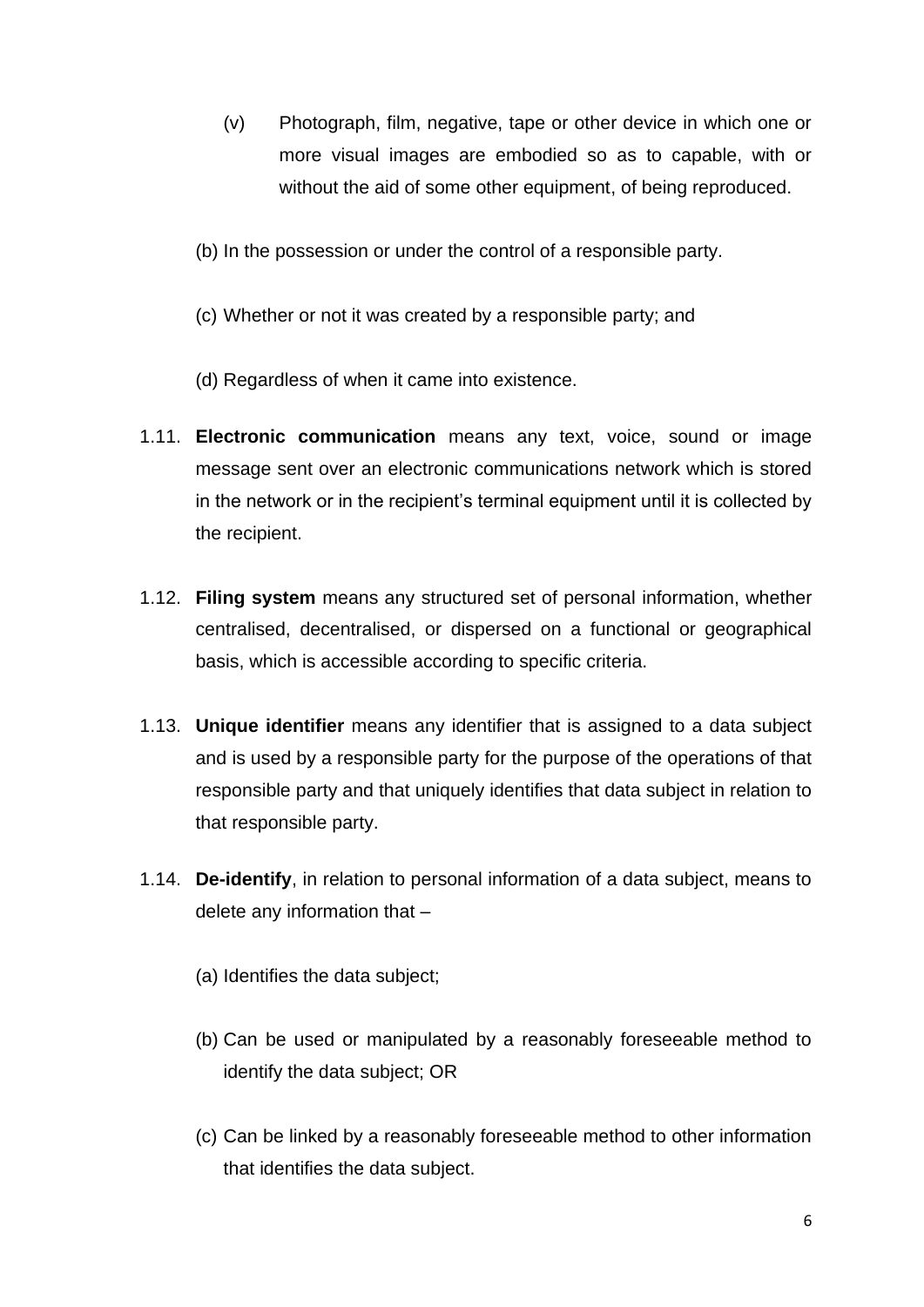- (v) Photograph, film, negative, tape or other device in which one or more visual images are embodied so as to capable, with or without the aid of some other equipment, of being reproduced.
- (b) In the possession or under the control of a responsible party.
- (c) Whether or not it was created by a responsible party; and
- (d) Regardless of when it came into existence.
- 1.11. **Electronic communication** means any text, voice, sound or image message sent over an electronic communications network which is stored in the network or in the recipient's terminal equipment until it is collected by the recipient.
- 1.12. **Filing system** means any structured set of personal information, whether centralised, decentralised, or dispersed on a functional or geographical basis, which is accessible according to specific criteria.
- 1.13. **Unique identifier** means any identifier that is assigned to a data subject and is used by a responsible party for the purpose of the operations of that responsible party and that uniquely identifies that data subject in relation to that responsible party.
- 1.14. **De-identify**, in relation to personal information of a data subject, means to delete any information that –
	- (a) Identifies the data subject;
	- (b) Can be used or manipulated by a reasonably foreseeable method to identify the data subject; OR
	- (c) Can be linked by a reasonably foreseeable method to other information that identifies the data subject.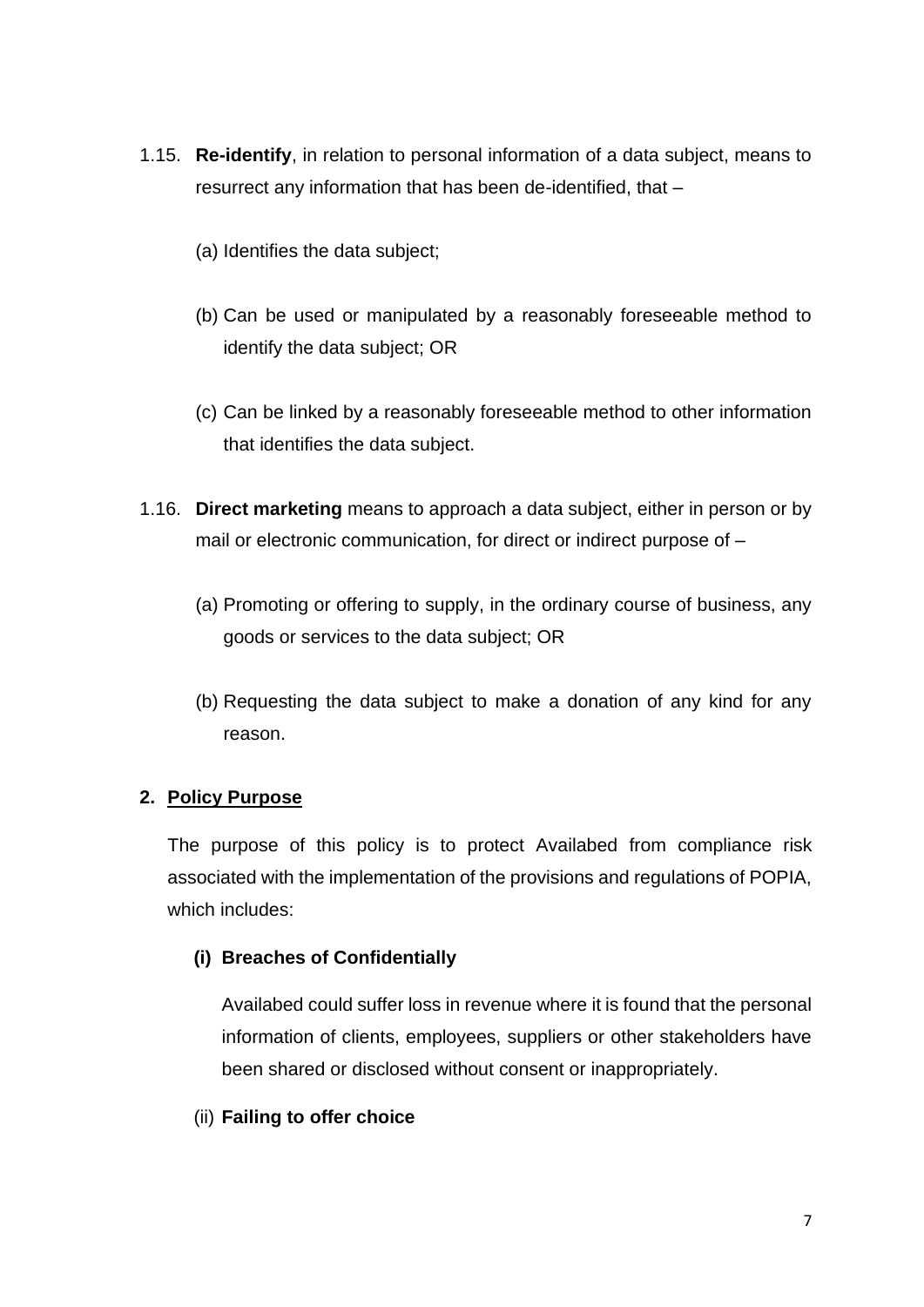- 1.15. **Re-identify**, in relation to personal information of a data subject, means to resurrect any information that has been de-identified, that –
	- (a) Identifies the data subject;
	- (b) Can be used or manipulated by a reasonably foreseeable method to identify the data subject; OR
	- (c) Can be linked by a reasonably foreseeable method to other information that identifies the data subject.
- 1.16. **Direct marketing** means to approach a data subject, either in person or by mail or electronic communication, for direct or indirect purpose of –
	- (a) Promoting or offering to supply, in the ordinary course of business, any goods or services to the data subject; OR
	- (b) Requesting the data subject to make a donation of any kind for any reason.

#### **2. Policy Purpose**

The purpose of this policy is to protect Availabed from compliance risk associated with the implementation of the provisions and regulations of POPIA, which includes:

#### **(i) Breaches of Confidentially**

Availabed could suffer loss in revenue where it is found that the personal information of clients, employees, suppliers or other stakeholders have been shared or disclosed without consent or inappropriately.

#### (ii) **Failing to offer choice**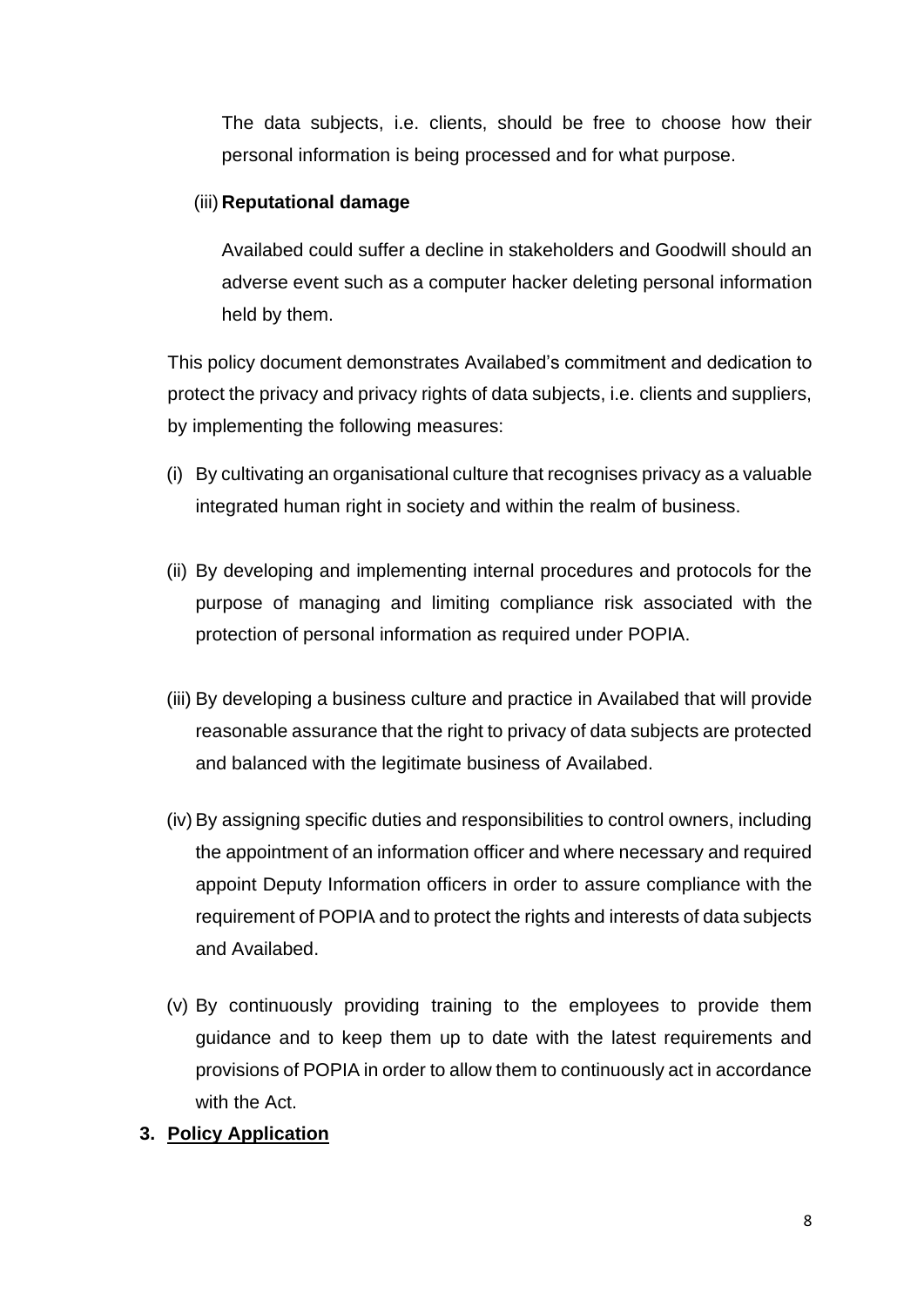The data subjects, i.e. clients, should be free to choose how their personal information is being processed and for what purpose.

#### (iii) **Reputational damage**

Availabed could suffer a decline in stakeholders and Goodwill should an adverse event such as a computer hacker deleting personal information held by them.

This policy document demonstrates Availabed's commitment and dedication to protect the privacy and privacy rights of data subjects, i.e. clients and suppliers, by implementing the following measures:

- (i) By cultivating an organisational culture that recognises privacy as a valuable integrated human right in society and within the realm of business.
- (ii) By developing and implementing internal procedures and protocols for the purpose of managing and limiting compliance risk associated with the protection of personal information as required under POPIA.
- (iii) By developing a business culture and practice in Availabed that will provide reasonable assurance that the right to privacy of data subjects are protected and balanced with the legitimate business of Availabed.
- (iv) By assigning specific duties and responsibilities to control owners, including the appointment of an information officer and where necessary and required appoint Deputy Information officers in order to assure compliance with the requirement of POPIA and to protect the rights and interests of data subjects and Availabed.
- (v) By continuously providing training to the employees to provide them guidance and to keep them up to date with the latest requirements and provisions of POPIA in order to allow them to continuously act in accordance with the Act.

#### **3. Policy Application**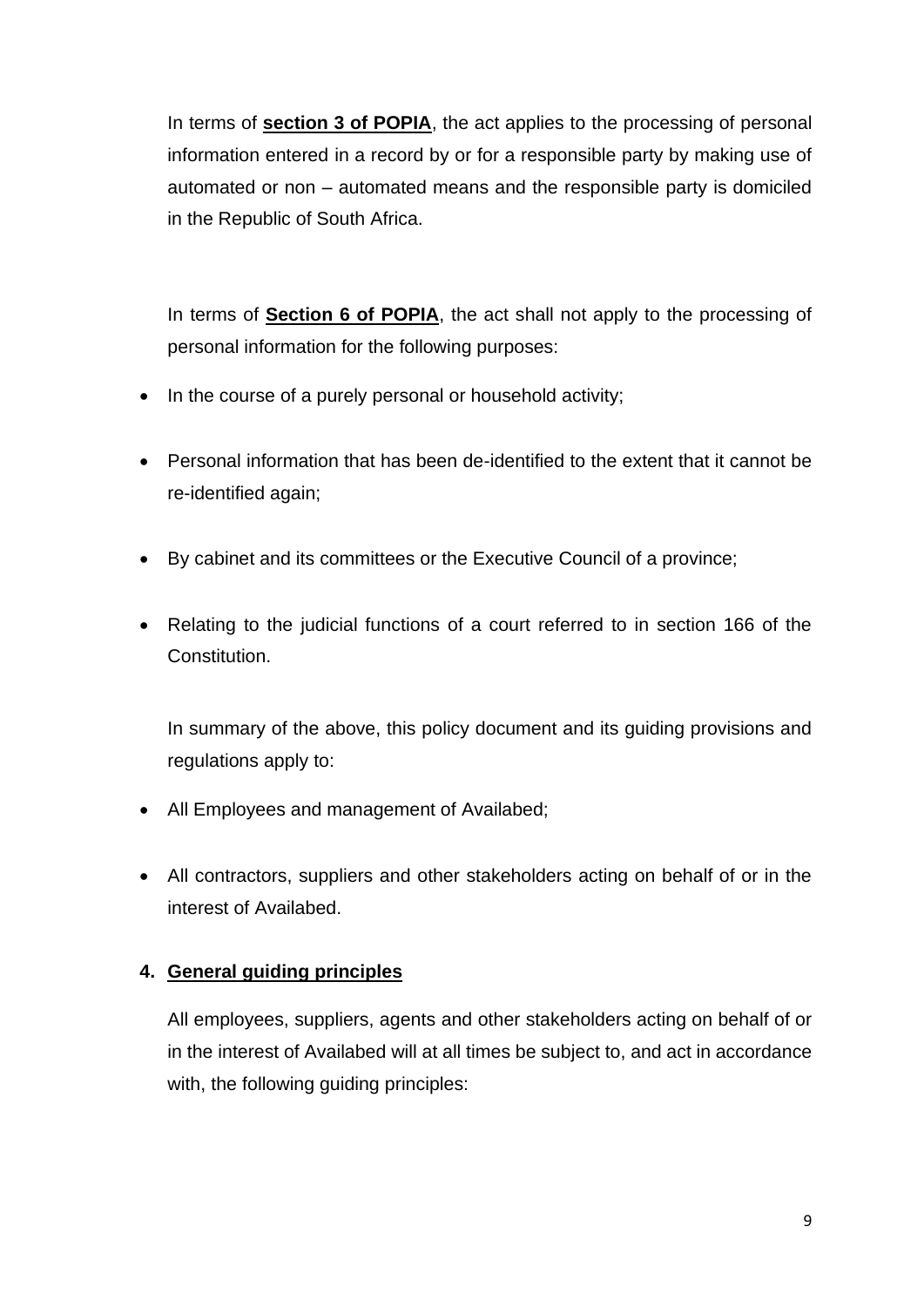In terms of **section 3 of POPIA**, the act applies to the processing of personal information entered in a record by or for a responsible party by making use of automated or non – automated means and the responsible party is domiciled in the Republic of South Africa.

In terms of **Section 6 of POPIA**, the act shall not apply to the processing of personal information for the following purposes:

- In the course of a purely personal or household activity;
- Personal information that has been de-identified to the extent that it cannot be re-identified again;
- By cabinet and its committees or the Executive Council of a province;
- Relating to the judicial functions of a court referred to in section 166 of the Constitution.

In summary of the above, this policy document and its guiding provisions and regulations apply to:

- All Employees and management of Availabed;
- All contractors, suppliers and other stakeholders acting on behalf of or in the interest of Availabed.

#### **4. General guiding principles**

All employees, suppliers, agents and other stakeholders acting on behalf of or in the interest of Availabed will at all times be subject to, and act in accordance with, the following guiding principles: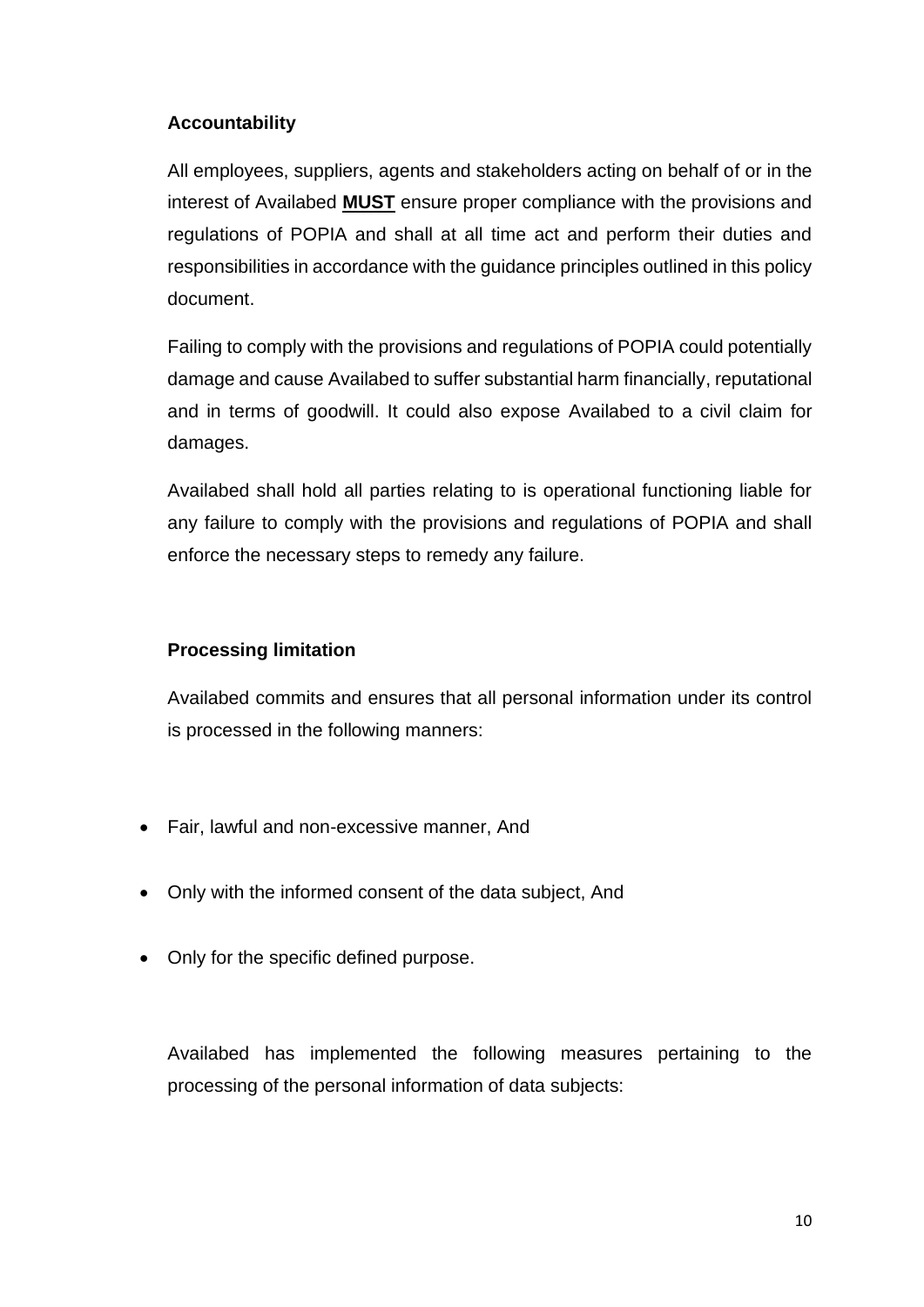#### **Accountability**

All employees, suppliers, agents and stakeholders acting on behalf of or in the interest of Availabed **MUST** ensure proper compliance with the provisions and regulations of POPIA and shall at all time act and perform their duties and responsibilities in accordance with the guidance principles outlined in this policy document.

Failing to comply with the provisions and regulations of POPIA could potentially damage and cause Availabed to suffer substantial harm financially, reputational and in terms of goodwill. It could also expose Availabed to a civil claim for damages.

Availabed shall hold all parties relating to is operational functioning liable for any failure to comply with the provisions and regulations of POPIA and shall enforce the necessary steps to remedy any failure.

#### **Processing limitation**

Availabed commits and ensures that all personal information under its control is processed in the following manners:

- Fair, lawful and non-excessive manner, And
- Only with the informed consent of the data subject, And
- Only for the specific defined purpose.

Availabed has implemented the following measures pertaining to the processing of the personal information of data subjects: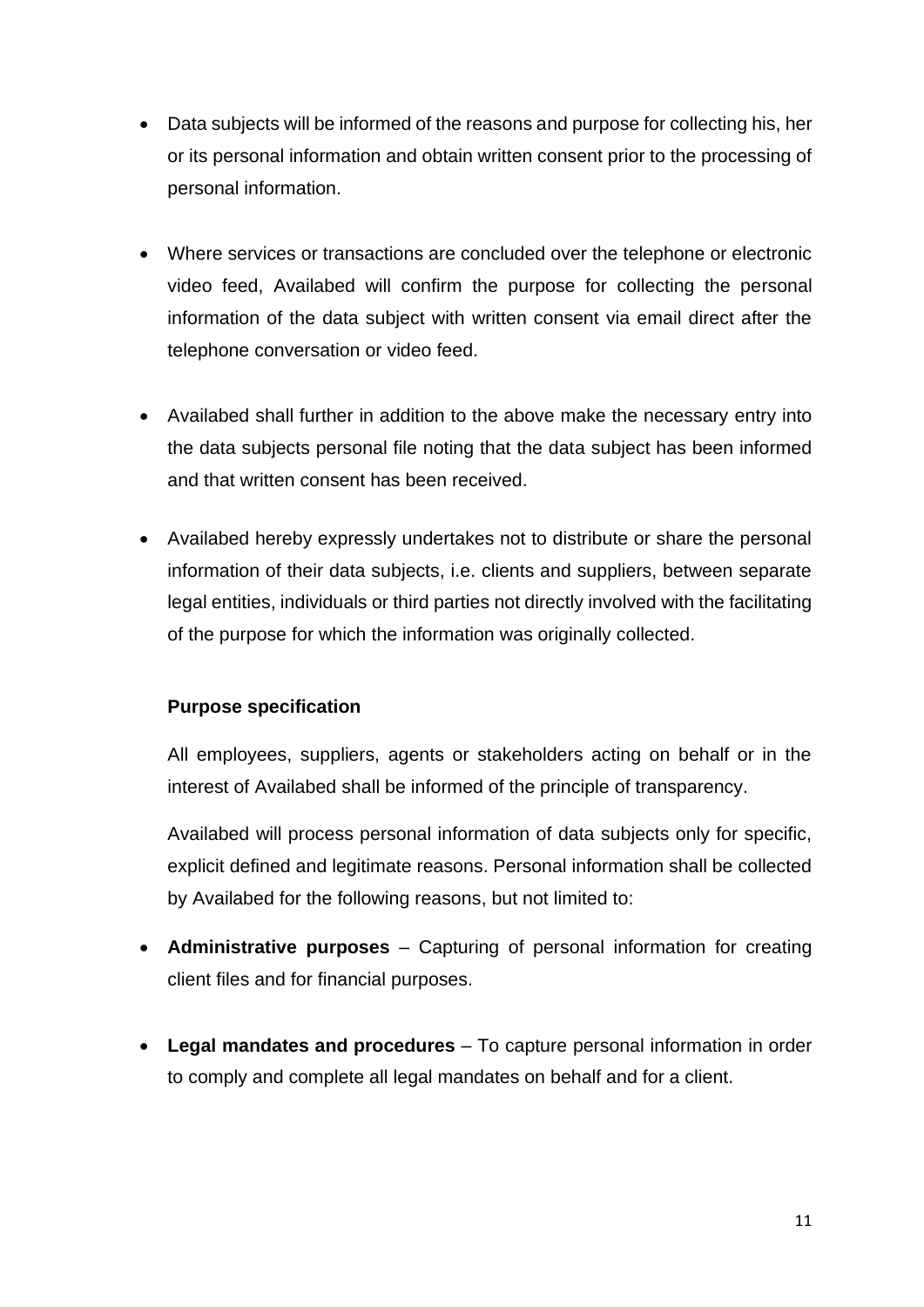- Data subjects will be informed of the reasons and purpose for collecting his, her or its personal information and obtain written consent prior to the processing of personal information.
- Where services or transactions are concluded over the telephone or electronic video feed, Availabed will confirm the purpose for collecting the personal information of the data subject with written consent via email direct after the telephone conversation or video feed.
- Availabed shall further in addition to the above make the necessary entry into the data subjects personal file noting that the data subject has been informed and that written consent has been received.
- Availabed hereby expressly undertakes not to distribute or share the personal information of their data subjects, i.e. clients and suppliers, between separate legal entities, individuals or third parties not directly involved with the facilitating of the purpose for which the information was originally collected.

#### **Purpose specification**

All employees, suppliers, agents or stakeholders acting on behalf or in the interest of Availabed shall be informed of the principle of transparency.

Availabed will process personal information of data subjects only for specific, explicit defined and legitimate reasons. Personal information shall be collected by Availabed for the following reasons, but not limited to:

- **Administrative purposes** Capturing of personal information for creating client files and for financial purposes.
- **Legal mandates and procedures** To capture personal information in order to comply and complete all legal mandates on behalf and for a client.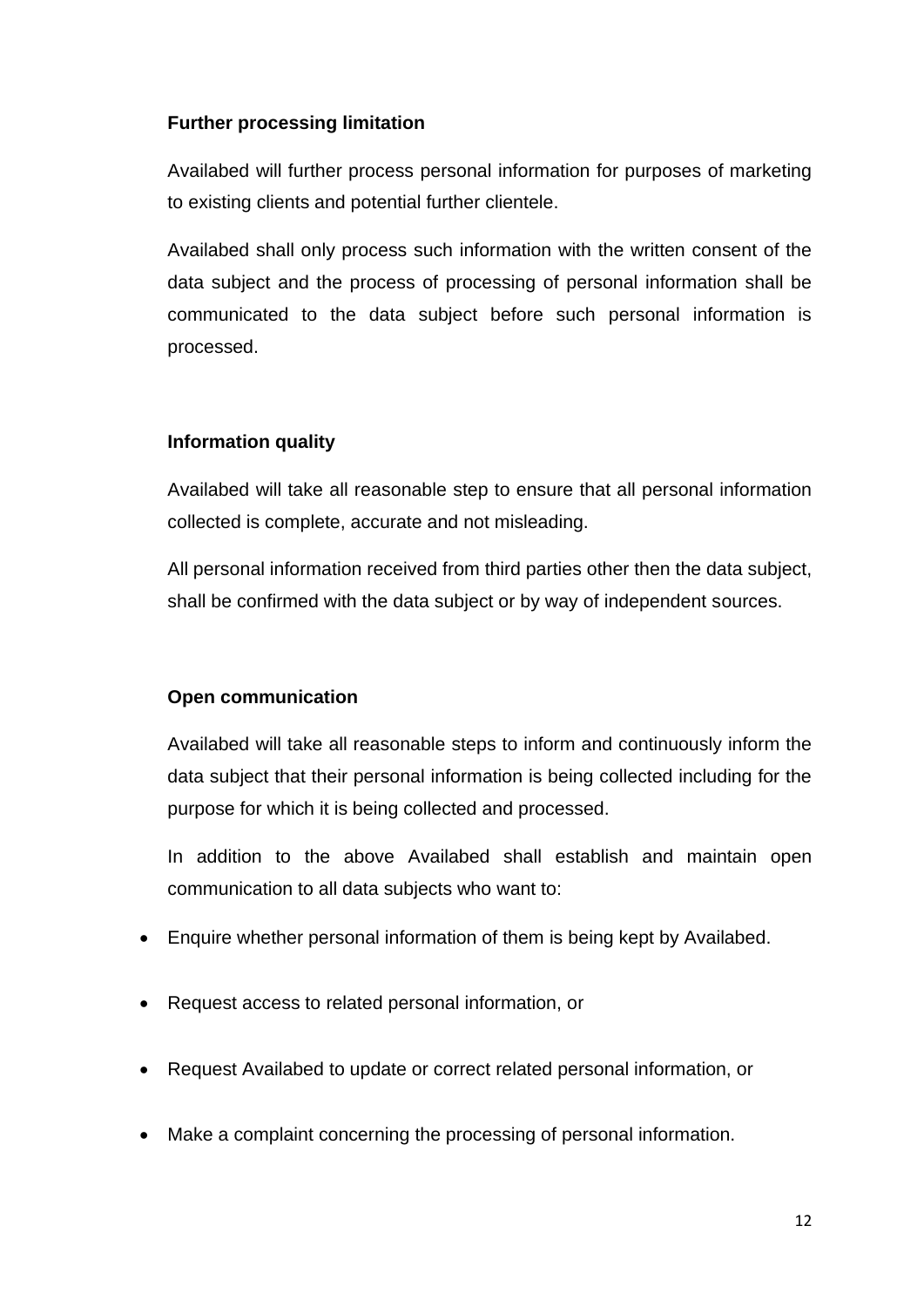#### **Further processing limitation**

Availabed will further process personal information for purposes of marketing to existing clients and potential further clientele.

Availabed shall only process such information with the written consent of the data subject and the process of processing of personal information shall be communicated to the data subject before such personal information is processed.

#### **Information quality**

Availabed will take all reasonable step to ensure that all personal information collected is complete, accurate and not misleading.

All personal information received from third parties other then the data subject, shall be confirmed with the data subject or by way of independent sources.

#### **Open communication**

Availabed will take all reasonable steps to inform and continuously inform the data subject that their personal information is being collected including for the purpose for which it is being collected and processed.

In addition to the above Availabed shall establish and maintain open communication to all data subjects who want to:

- Enquire whether personal information of them is being kept by Availabed.
- Request access to related personal information, or
- Request Availabed to update or correct related personal information, or
- Make a complaint concerning the processing of personal information.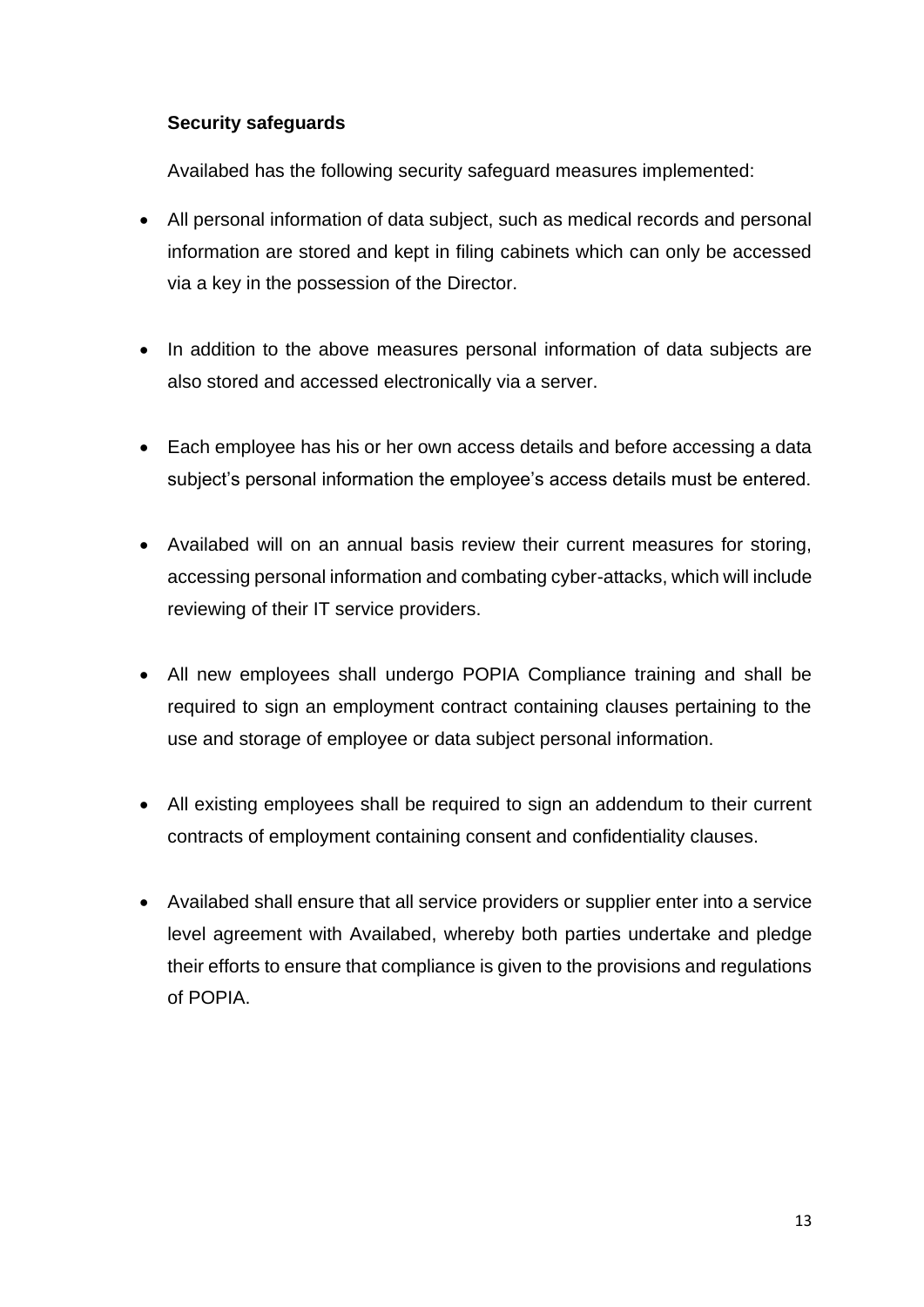#### **Security safeguards**

Availabed has the following security safeguard measures implemented:

- All personal information of data subject, such as medical records and personal information are stored and kept in filing cabinets which can only be accessed via a key in the possession of the Director.
- In addition to the above measures personal information of data subjects are also stored and accessed electronically via a server.
- Each employee has his or her own access details and before accessing a data subject's personal information the employee's access details must be entered.
- Availabed will on an annual basis review their current measures for storing, accessing personal information and combating cyber-attacks, which will include reviewing of their IT service providers.
- All new employees shall undergo POPIA Compliance training and shall be required to sign an employment contract containing clauses pertaining to the use and storage of employee or data subject personal information.
- All existing employees shall be required to sign an addendum to their current contracts of employment containing consent and confidentiality clauses.
- Availabed shall ensure that all service providers or supplier enter into a service level agreement with Availabed, whereby both parties undertake and pledge their efforts to ensure that compliance is given to the provisions and regulations of POPIA.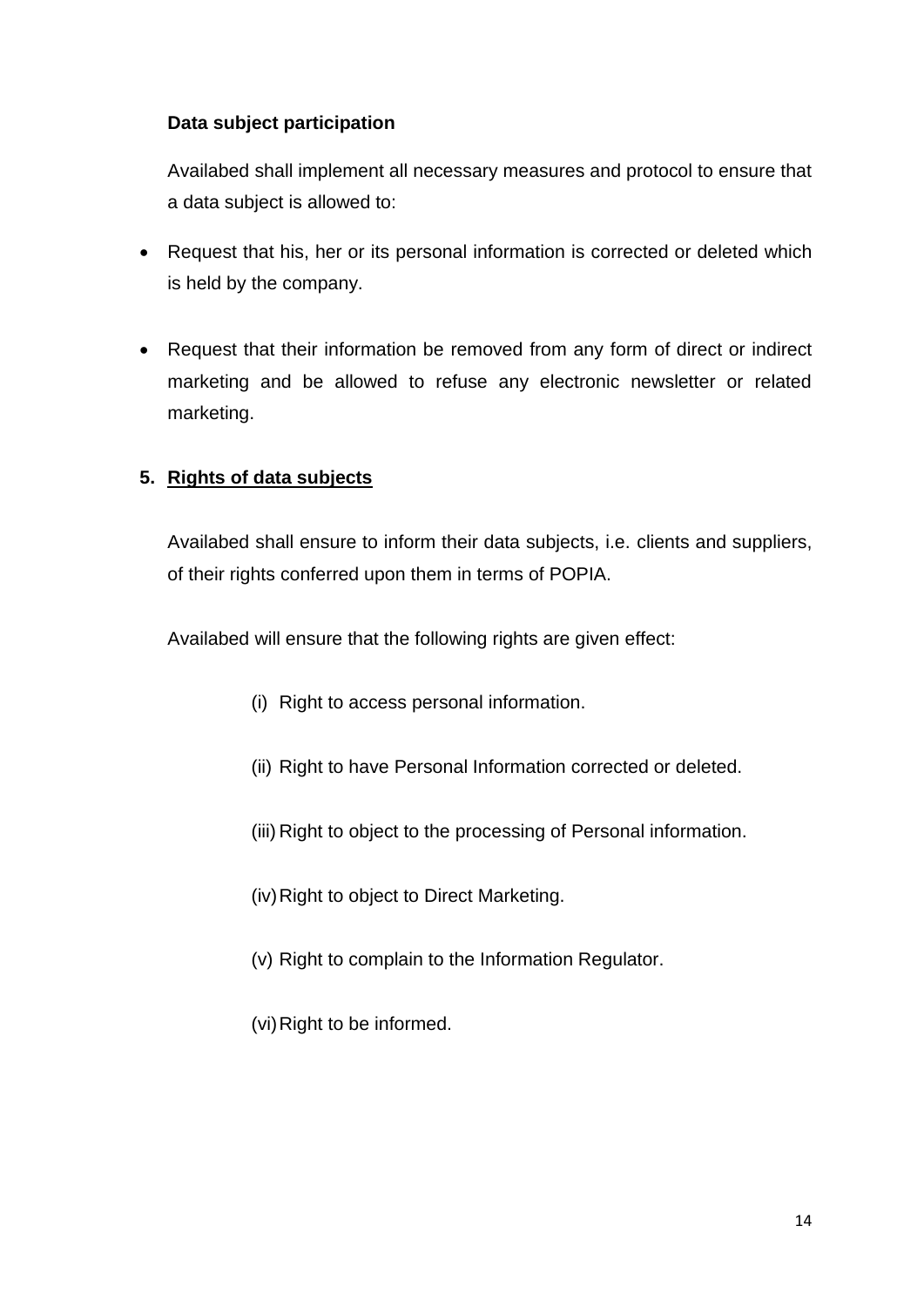#### **Data subject participation**

Availabed shall implement all necessary measures and protocol to ensure that a data subject is allowed to:

- Request that his, her or its personal information is corrected or deleted which is held by the company.
- Request that their information be removed from any form of direct or indirect marketing and be allowed to refuse any electronic newsletter or related marketing.

#### **5. Rights of data subjects**

Availabed shall ensure to inform their data subjects, i.e. clients and suppliers, of their rights conferred upon them in terms of POPIA.

Availabed will ensure that the following rights are given effect:

- (i) Right to access personal information.
- (ii) Right to have Personal Information corrected or deleted.
- (iii) Right to object to the processing of Personal information.
- (iv) Right to object to Direct Marketing.
- (v) Right to complain to the Information Regulator.
- (vi) Right to be informed.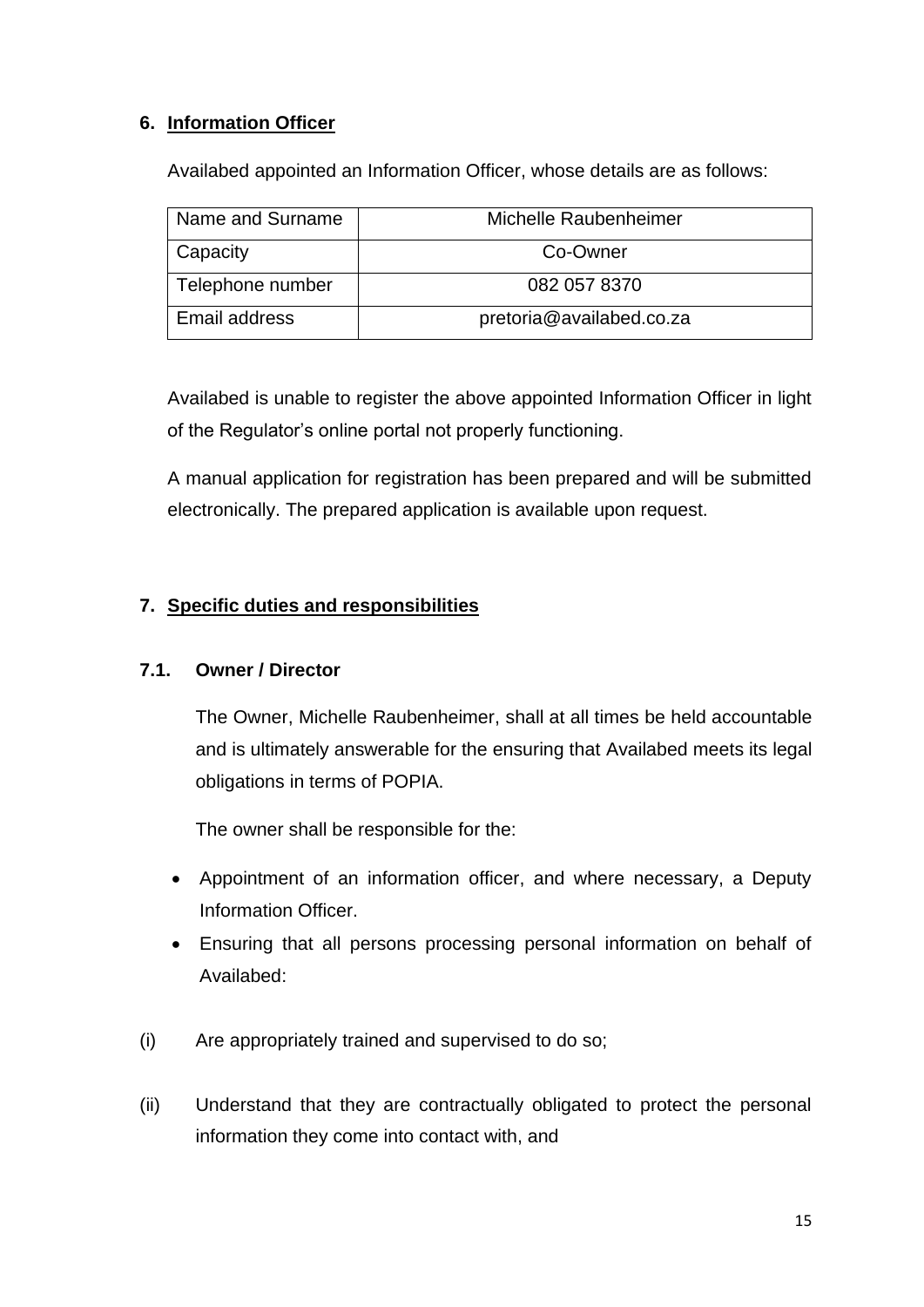#### **6. Information Officer**

Availabed appointed an Information Officer, whose details are as follows:

| Name and Surname | Michelle Raubenheimer    |
|------------------|--------------------------|
| <b>Capacity</b>  | Co-Owner                 |
| Telephone number | 082 057 8370             |
| Email address    | pretoria@availabed.co.za |

Availabed is unable to register the above appointed Information Officer in light of the Regulator's online portal not properly functioning.

A manual application for registration has been prepared and will be submitted electronically. The prepared application is available upon request.

#### **7. Specific duties and responsibilities**

#### **7.1. Owner / Director**

The Owner, Michelle Raubenheimer, shall at all times be held accountable and is ultimately answerable for the ensuring that Availabed meets its legal obligations in terms of POPIA.

The owner shall be responsible for the:

- Appointment of an information officer, and where necessary, a Deputy Information Officer.
- Ensuring that all persons processing personal information on behalf of Availabed:
- (i) Are appropriately trained and supervised to do so;
- (ii) Understand that they are contractually obligated to protect the personal information they come into contact with, and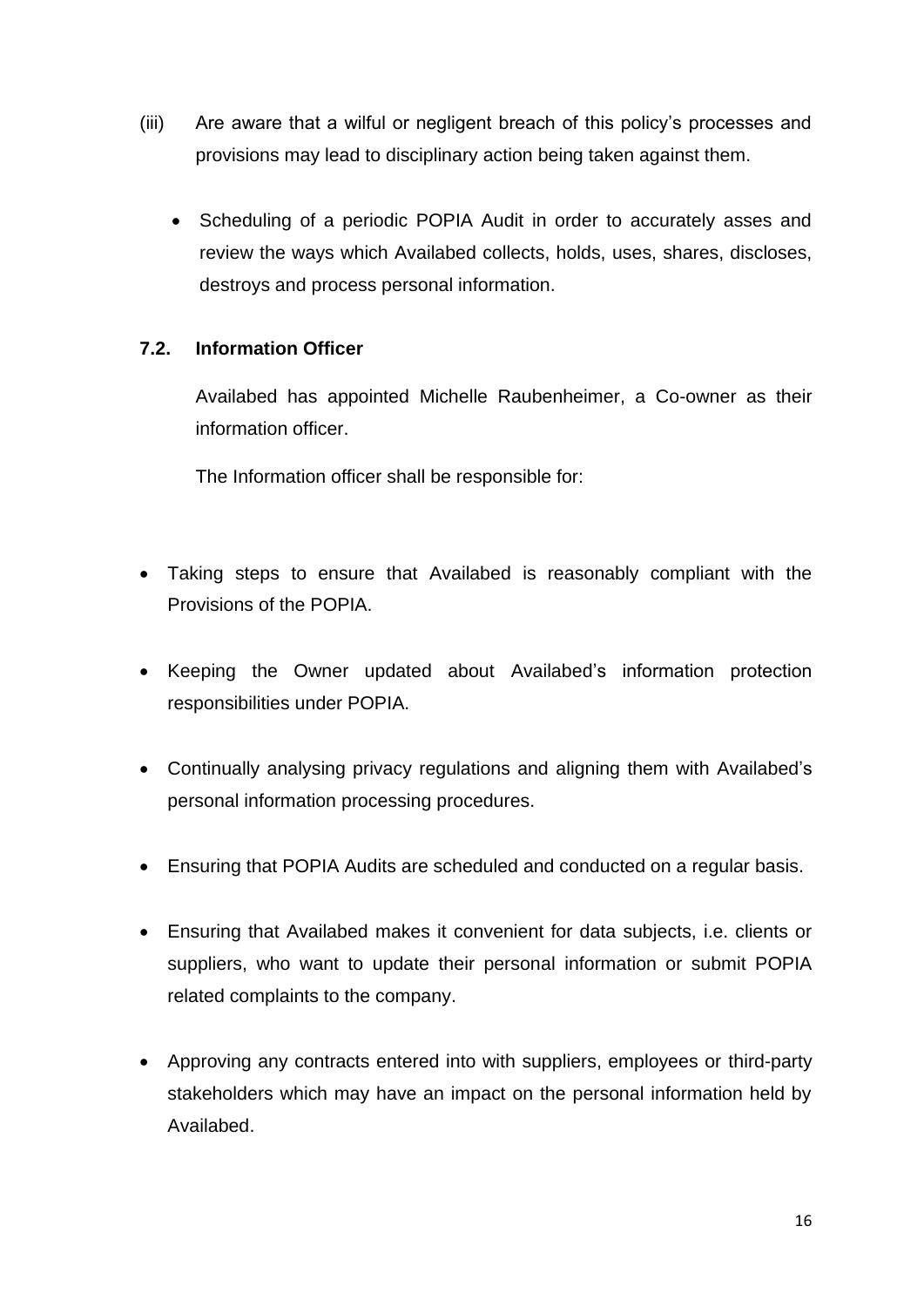- (iii) Are aware that a wilful or negligent breach of this policy's processes and provisions may lead to disciplinary action being taken against them.
	- Scheduling of a periodic POPIA Audit in order to accurately asses and review the ways which Availabed collects, holds, uses, shares, discloses, destroys and process personal information.

#### **7.2. Information Officer**

Availabed has appointed Michelle Raubenheimer, a Co-owner as their information officer.

The Information officer shall be responsible for:

- Taking steps to ensure that Availabed is reasonably compliant with the Provisions of the POPIA.
- Keeping the Owner updated about Availabed's information protection responsibilities under POPIA.
- Continually analysing privacy regulations and aligning them with Availabed's personal information processing procedures.
- Ensuring that POPIA Audits are scheduled and conducted on a regular basis.
- Ensuring that Availabed makes it convenient for data subjects, i.e. clients or suppliers, who want to update their personal information or submit POPIA related complaints to the company.
- Approving any contracts entered into with suppliers, employees or third-party stakeholders which may have an impact on the personal information held by Availabed.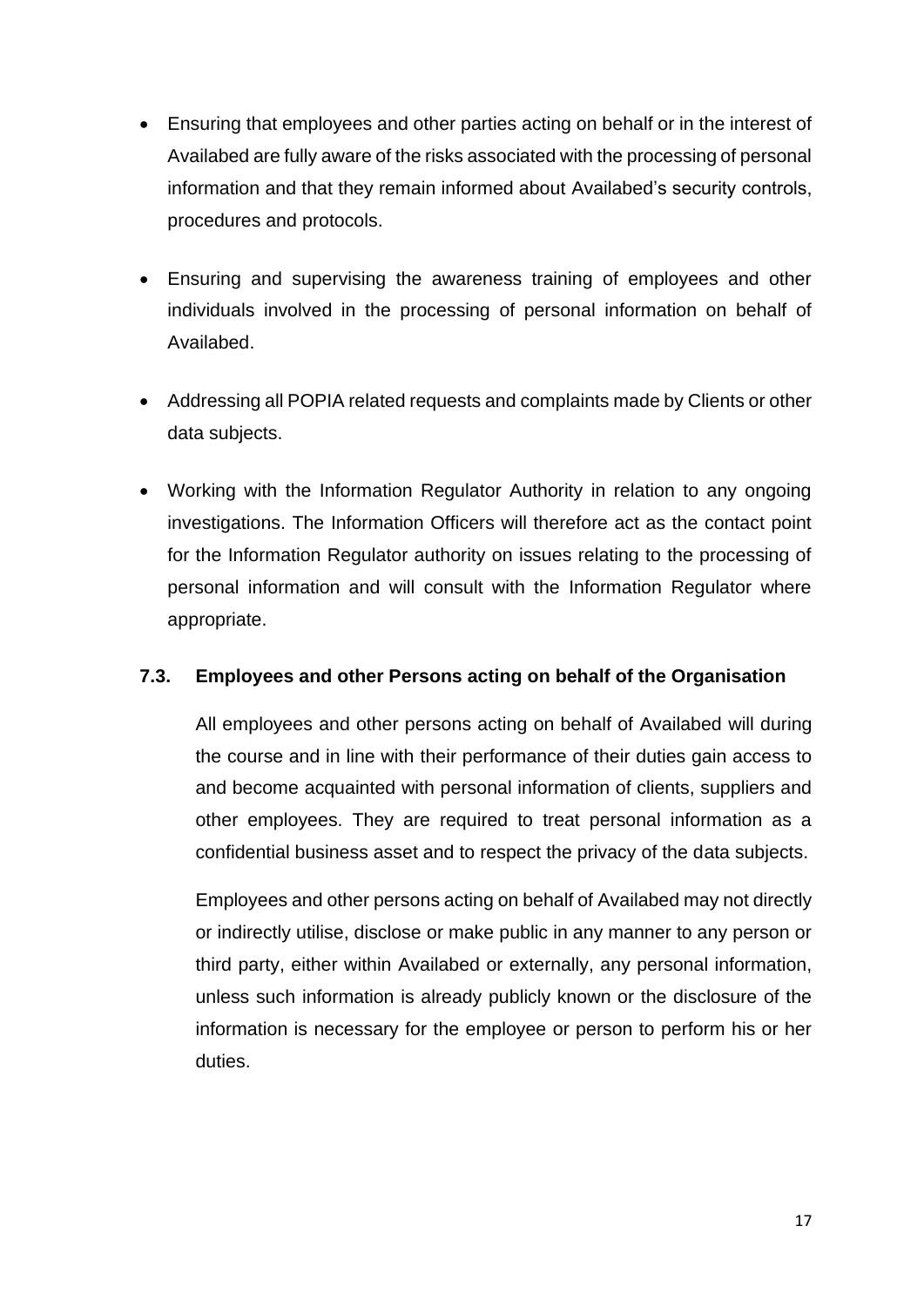- Ensuring that employees and other parties acting on behalf or in the interest of Availabed are fully aware of the risks associated with the processing of personal information and that they remain informed about Availabed's security controls, procedures and protocols.
- Ensuring and supervising the awareness training of employees and other individuals involved in the processing of personal information on behalf of Availabed.
- Addressing all POPIA related requests and complaints made by Clients or other data subjects.
- Working with the Information Regulator Authority in relation to any ongoing investigations. The Information Officers will therefore act as the contact point for the Information Regulator authority on issues relating to the processing of personal information and will consult with the Information Regulator where appropriate.

#### **7.3. Employees and other Persons acting on behalf of the Organisation**

All employees and other persons acting on behalf of Availabed will during the course and in line with their performance of their duties gain access to and become acquainted with personal information of clients, suppliers and other employees. They are required to treat personal information as a confidential business asset and to respect the privacy of the data subjects.

Employees and other persons acting on behalf of Availabed may not directly or indirectly utilise, disclose or make public in any manner to any person or third party, either within Availabed or externally, any personal information, unless such information is already publicly known or the disclosure of the information is necessary for the employee or person to perform his or her duties.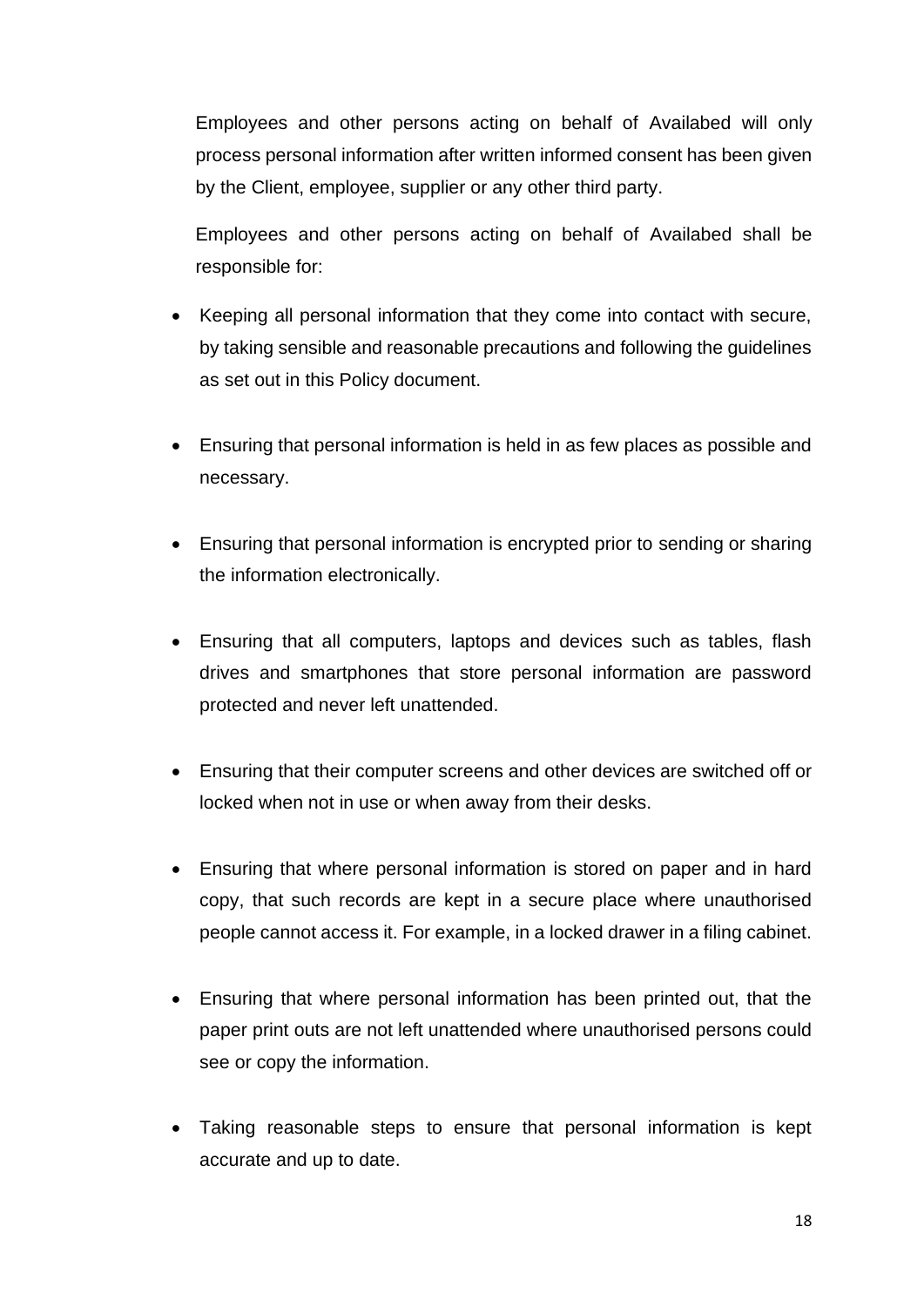Employees and other persons acting on behalf of Availabed will only process personal information after written informed consent has been given by the Client, employee, supplier or any other third party.

Employees and other persons acting on behalf of Availabed shall be responsible for:

- Keeping all personal information that they come into contact with secure, by taking sensible and reasonable precautions and following the guidelines as set out in this Policy document.
- Ensuring that personal information is held in as few places as possible and necessary.
- Ensuring that personal information is encrypted prior to sending or sharing the information electronically.
- Ensuring that all computers, laptops and devices such as tables, flash drives and smartphones that store personal information are password protected and never left unattended.
- Ensuring that their computer screens and other devices are switched off or locked when not in use or when away from their desks.
- Ensuring that where personal information is stored on paper and in hard copy, that such records are kept in a secure place where unauthorised people cannot access it. For example, in a locked drawer in a filing cabinet.
- Ensuring that where personal information has been printed out, that the paper print outs are not left unattended where unauthorised persons could see or copy the information.
- Taking reasonable steps to ensure that personal information is kept accurate and up to date.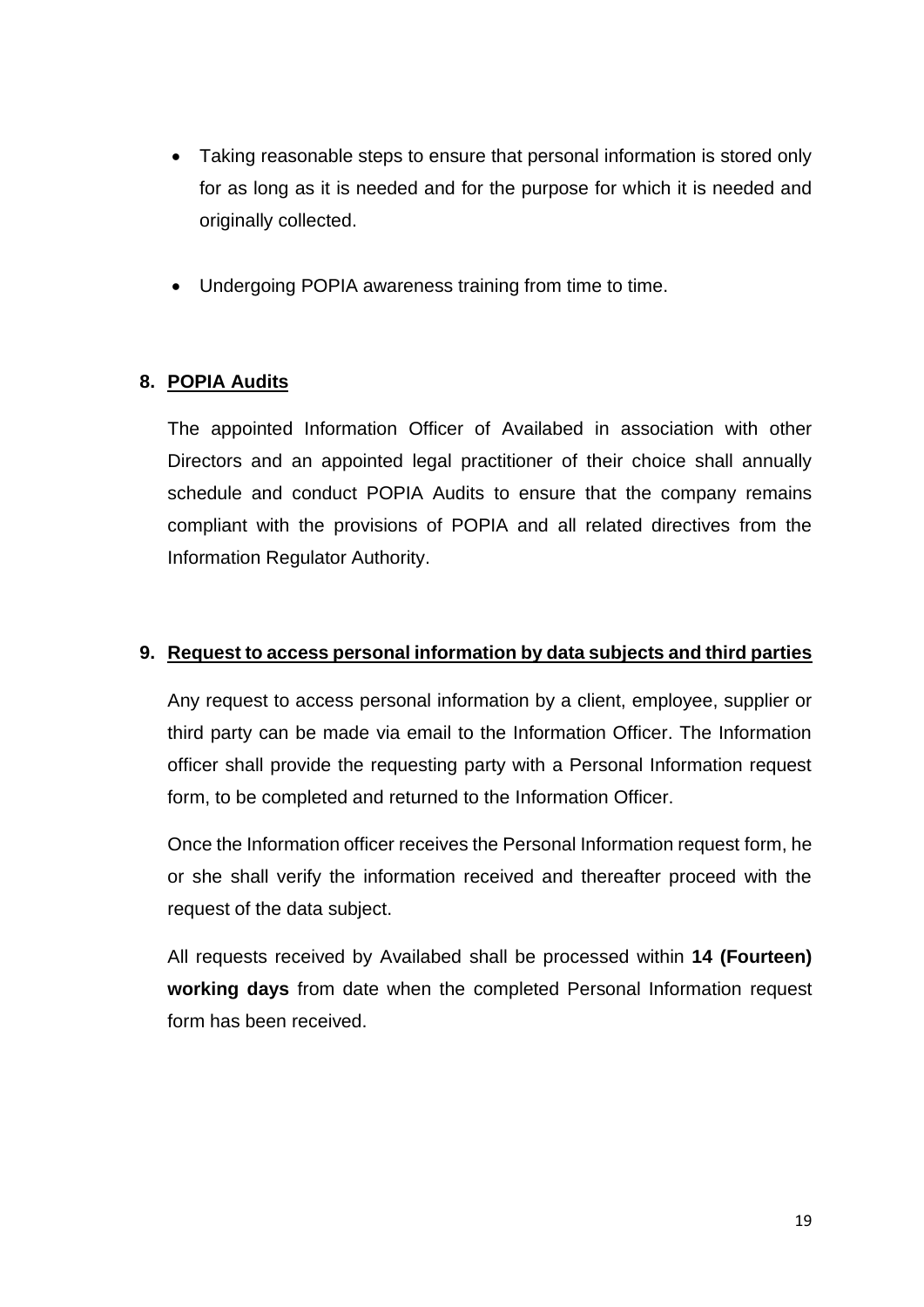- Taking reasonable steps to ensure that personal information is stored only for as long as it is needed and for the purpose for which it is needed and originally collected.
- Undergoing POPIA awareness training from time to time.

#### **8. POPIA Audits**

The appointed Information Officer of Availabed in association with other Directors and an appointed legal practitioner of their choice shall annually schedule and conduct POPIA Audits to ensure that the company remains compliant with the provisions of POPIA and all related directives from the Information Regulator Authority.

#### **9. Request to access personal information by data subjects and third parties**

Any request to access personal information by a client, employee, supplier or third party can be made via email to the Information Officer. The Information officer shall provide the requesting party with a Personal Information request form, to be completed and returned to the Information Officer.

Once the Information officer receives the Personal Information request form, he or she shall verify the information received and thereafter proceed with the request of the data subject.

All requests received by Availabed shall be processed within **14 (Fourteen) working days** from date when the completed Personal Information request form has been received.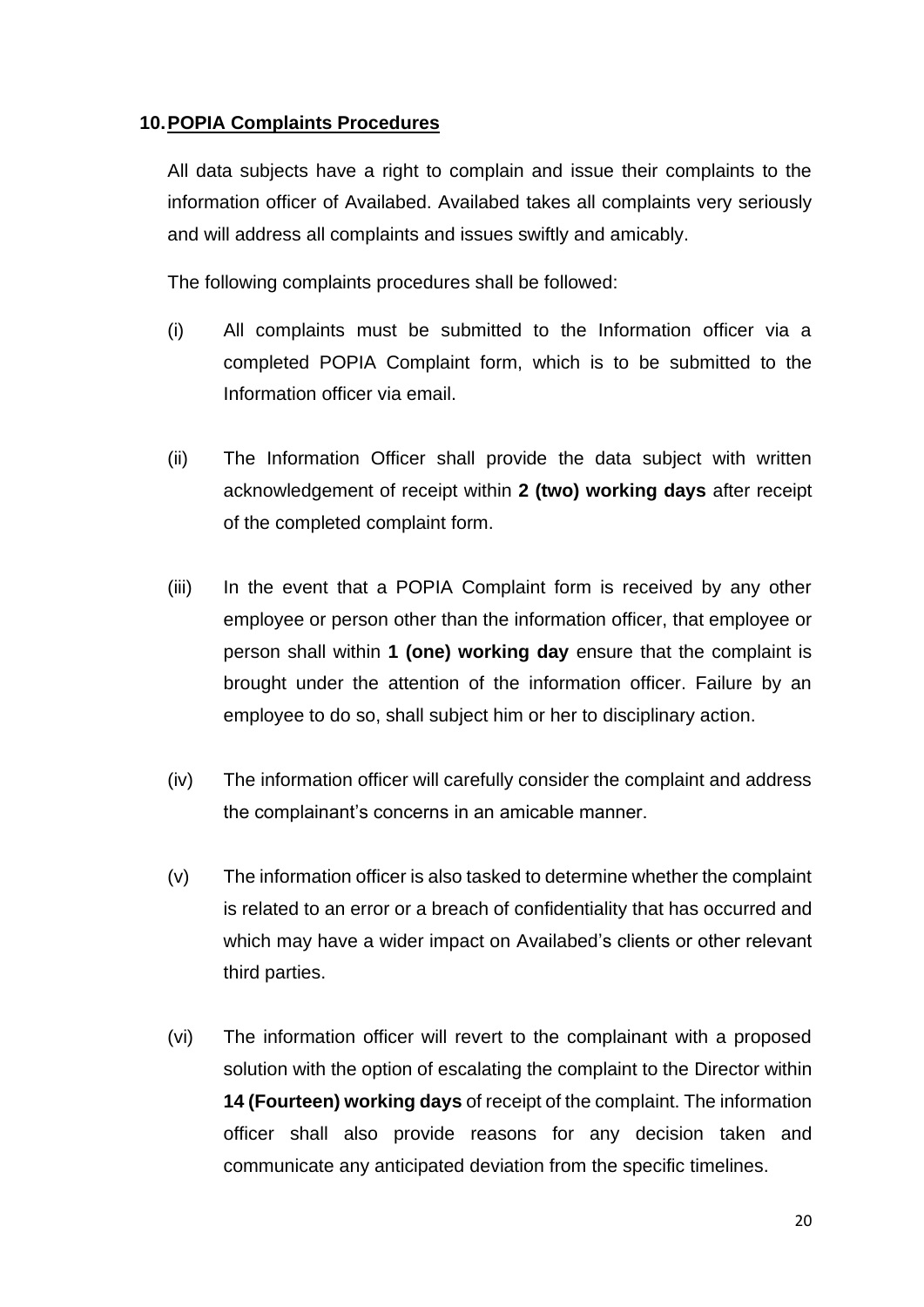#### **10.POPIA Complaints Procedures**

All data subjects have a right to complain and issue their complaints to the information officer of Availabed. Availabed takes all complaints very seriously and will address all complaints and issues swiftly and amicably.

The following complaints procedures shall be followed:

- (i) All complaints must be submitted to the Information officer via a completed POPIA Complaint form, which is to be submitted to the Information officer via email.
- (ii) The Information Officer shall provide the data subject with written acknowledgement of receipt within **2 (two) working days** after receipt of the completed complaint form.
- (iii) In the event that a POPIA Complaint form is received by any other employee or person other than the information officer, that employee or person shall within **1 (one) working day** ensure that the complaint is brought under the attention of the information officer. Failure by an employee to do so, shall subject him or her to disciplinary action.
- (iv) The information officer will carefully consider the complaint and address the complainant's concerns in an amicable manner.
- (v) The information officer is also tasked to determine whether the complaint is related to an error or a breach of confidentiality that has occurred and which may have a wider impact on Availabed's clients or other relevant third parties.
- (vi) The information officer will revert to the complainant with a proposed solution with the option of escalating the complaint to the Director within **14 (Fourteen) working days** of receipt of the complaint. The information officer shall also provide reasons for any decision taken and communicate any anticipated deviation from the specific timelines.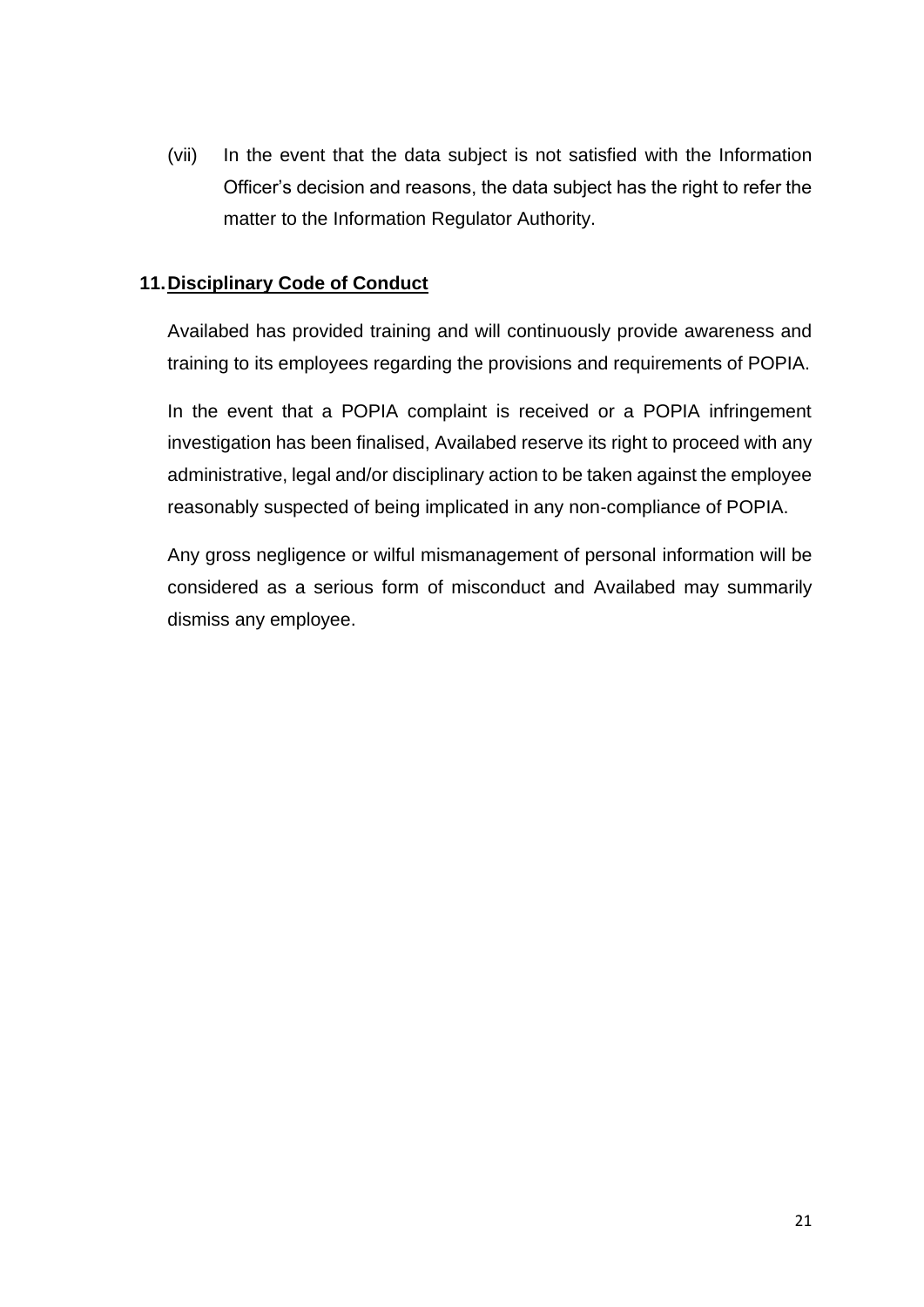(vii) In the event that the data subject is not satisfied with the Information Officer's decision and reasons, the data subject has the right to refer the matter to the Information Regulator Authority.

#### **11.Disciplinary Code of Conduct**

Availabed has provided training and will continuously provide awareness and training to its employees regarding the provisions and requirements of POPIA.

In the event that a POPIA complaint is received or a POPIA infringement investigation has been finalised, Availabed reserve its right to proceed with any administrative, legal and/or disciplinary action to be taken against the employee reasonably suspected of being implicated in any non-compliance of POPIA.

Any gross negligence or wilful mismanagement of personal information will be considered as a serious form of misconduct and Availabed may summarily dismiss any employee.